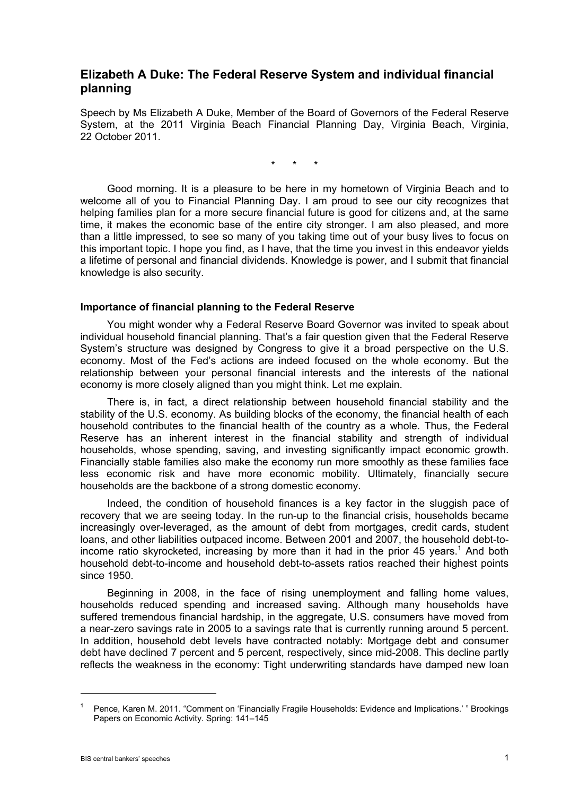# **Elizabeth A Duke: The Federal Reserve System and individual financial planning**

Speech by Ms Elizabeth A Duke, Member of the Board of Governors of the Federal Reserve System, at the 2011 Virginia Beach Financial Planning Day, Virginia Beach, Virginia, 22 October 2011.

\* \* \*

 Good morning. It is a pleasure to be here in my hometown of Virginia Beach and to welcome all of you to Financial Planning Day. I am proud to see our city recognizes that helping families plan for a more secure financial future is good for citizens and, at the same time, it makes the economic base of the entire city stronger. I am also pleased, and more than a little impressed, to see so many of you taking time out of your busy lives to focus on this important topic. I hope you find, as I have, that the time you invest in this endeavor yields a lifetime of personal and financial dividends. Knowledge is power, and I submit that financial knowledge is also security.

#### **Importance of financial planning to the Federal Reserve**

 You might wonder why a Federal Reserve Board Governor was invited to speak about individual household financial planning. That's a fair question given that the Federal Reserve System's structure was designed by Congress to give it a broad perspective on the U.S. economy. Most of the Fed's actions are indeed focused on the whole economy. But the relationship between your personal financial interests and the interests of the national economy is more closely aligned than you might think. Let me explain.

 There is, in fact, a direct relationship between household financial stability and the stability of the U.S. economy. As building blocks of the economy, the financial health of each household contributes to the financial health of the country as a whole. Thus, the Federal Reserve has an inherent interest in the financial stability and strength of individual households, whose spending, saving, and investing significantly impact economic growth. Financially stable families also make the economy run more smoothly as these families face less economic risk and have more economic mobility. Ultimately, financially secure households are the backbone of a strong domestic economy.

 Indeed, the condition of household finances is a key factor in the sluggish pace of recovery that we are seeing today. In the run-up to the financial crisis, households became increasingly over-leveraged, as the amount of debt from mortgages, credit cards, student loans, and other liabilities outpaced income. Between 2001 and 2007, the household debt-toincome ratio skyrocketed, increasing by more than it had in the prior 45 years.<sup>1</sup> And both household debt-to-income and household debt-to-assets ratios reached their highest points since 1950.

 Beginning in 2008, in the face of rising unemployment and falling home values, households reduced spending and increased saving. Although many households have suffered tremendous financial hardship, in the aggregate, U.S. consumers have moved from a near-zero savings rate in 2005 to a savings rate that is currently running around 5 percent. In addition, household debt levels have contracted notably: Mortgage debt and consumer debt have declined 7 percent and 5 percent, respectively, since mid-2008. This decline partly reflects the weakness in the economy: Tight underwriting standards have damped new loan

<sup>1</sup> Pence, Karen M. 2011. "Comment on 'Financially Fragile Households: Evidence and Implications.' " Brookings Papers on Economic Activity. Spring: 141–145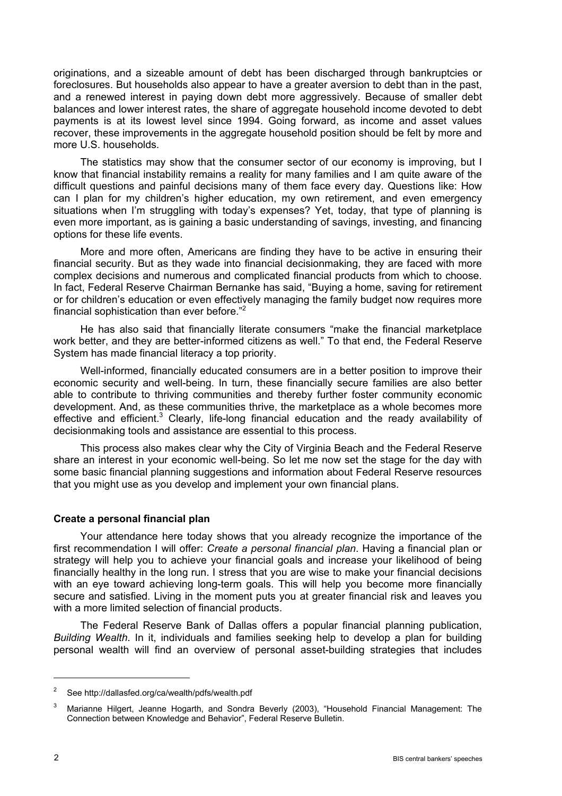originations, and a sizeable amount of debt has been discharged through bankruptcies or foreclosures. But households also appear to have a greater aversion to debt than in the past, and a renewed interest in paying down debt more aggressively. Because of smaller debt balances and lower interest rates, the share of aggregate household income devoted to debt payments is at its lowest level since 1994. Going forward, as income and asset values recover, these improvements in the aggregate household position should be felt by more and more U.S. households.

 The statistics may show that the consumer sector of our economy is improving, but I know that financial instability remains a reality for many families and I am quite aware of the difficult questions and painful decisions many of them face every day. Questions like: How can I plan for my children's higher education, my own retirement, and even emergency situations when I'm struggling with today's expenses? Yet, today, that type of planning is even more important, as is gaining a basic understanding of savings, investing, and financing options for these life events.

 More and more often, Americans are finding they have to be active in ensuring their financial security. But as they wade into financial decisionmaking, they are faced with more complex decisions and numerous and complicated financial products from which to choose. In fact, Federal Reserve Chairman Bernanke has said, "Buying a home, saving for retirement or for children's education or even effectively managing the family budget now requires more financial sophistication than ever before."<sup>2</sup>

 He has also said that financially literate consumers "make the financial marketplace work better, and they are better-informed citizens as well." To that end, the Federal Reserve System has made financial literacy a top priority.

 Well-informed, financially educated consumers are in a better position to improve their economic security and well-being. In turn, these financially secure families are also better able to contribute to thriving communities and thereby further foster community economic development. And, as these communities thrive, the marketplace as a whole becomes more effective and efficient.<sup>3</sup> Clearly, life-long financial education and the ready availability of decisionmaking tools and assistance are essential to this process.

 This process also makes clear why the City of Virginia Beach and the Federal Reserve share an interest in your economic well-being. So let me now set the stage for the day with some basic financial planning suggestions and information about Federal Reserve resources that you might use as you develop and implement your own financial plans.

## **Create a personal financial plan**

 Your attendance here today shows that you already recognize the importance of the first recommendation I will offer: *Create a personal financial plan*. Having a financial plan or strategy will help you to achieve your financial goals and increase your likelihood of being financially healthy in the long run. I stress that you are wise to make your financial decisions with an eye toward achieving long-term goals. This will help you become more financially secure and satisfied. Living in the moment puts you at greater financial risk and leaves you with a more limited selection of financial products.

 The Federal Reserve Bank of Dallas offers a popular financial planning publication, *Building Wealth*. In it, individuals and families seeking help to develop a plan for building personal wealth will find an overview of personal asset-building strategies that includes

<sup>2</sup> See http://dallasfed.org/ca/wealth/pdfs/wealth.pdf

<sup>3</sup> Marianne Hilgert, Jeanne Hogarth, and Sondra Beverly (2003), "Household Financial Management: The Connection between Knowledge and Behavior", Federal Reserve Bulletin.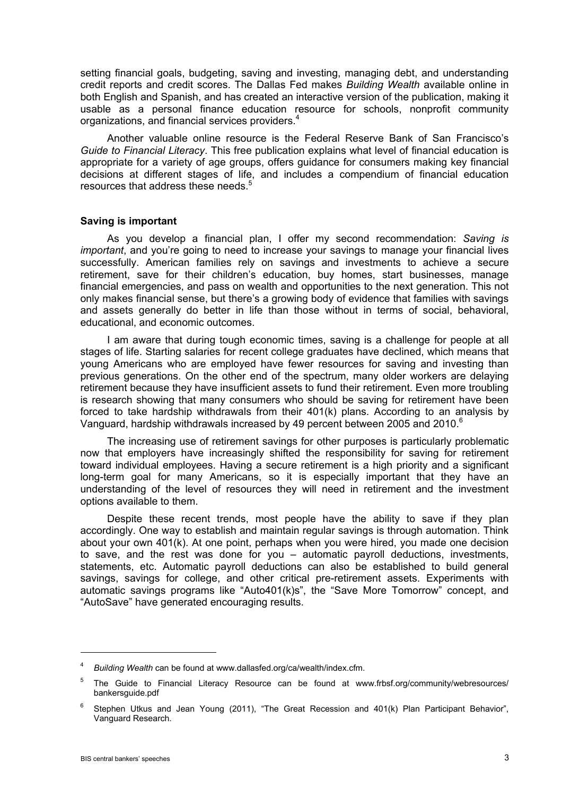setting financial goals, budgeting, saving and investing, managing debt, and understanding credit reports and credit scores. The Dallas Fed makes *Building Wealth* available online in both English and Spanish, and has created an interactive version of the publication, making it usable as a personal finance education resource for schools, nonprofit community organizations, and financial services providers.<sup>4</sup>

 Another valuable online resource is the Federal Reserve Bank of San Francisco's *Guide to Financial Literacy*. This free publication explains what level of financial education is appropriate for a variety of age groups, offers guidance for consumers making key financial decisions at different stages of life, and includes a compendium of financial education resources that address these needs.<sup>5</sup>

#### **Saving is important**

 As you develop a financial plan, I offer my second recommendation: *Saving is important*, and you're going to need to increase your savings to manage your financial lives successfully. American families rely on savings and investments to achieve a secure retirement, save for their children's education, buy homes, start businesses, manage financial emergencies, and pass on wealth and opportunities to the next generation. This not only makes financial sense, but there's a growing body of evidence that families with savings and assets generally do better in life than those without in terms of social, behavioral, educational, and economic outcomes.

 I am aware that during tough economic times, saving is a challenge for people at all stages of life. Starting salaries for recent college graduates have declined, which means that young Americans who are employed have fewer resources for saving and investing than previous generations. On the other end of the spectrum, many older workers are delaying retirement because they have insufficient assets to fund their retirement. Even more troubling is research showing that many consumers who should be saving for retirement have been forced to take hardship withdrawals from their 401(k) plans. According to an analysis by Vanguard, hardship withdrawals increased by 49 percent between 2005 and 2010.<sup>6</sup>

 The increasing use of retirement savings for other purposes is particularly problematic now that employers have increasingly shifted the responsibility for saving for retirement toward individual employees. Having a secure retirement is a high priority and a significant long-term goal for many Americans, so it is especially important that they have an understanding of the level of resources they will need in retirement and the investment options available to them.

 Despite these recent trends, most people have the ability to save if they plan accordingly. One way to establish and maintain regular savings is through automation. Think about your own 401(k). At one point, perhaps when you were hired, you made one decision to save, and the rest was done for you – automatic payroll deductions, investments, statements, etc. Automatic payroll deductions can also be established to build general savings, savings for college, and other critical pre-retirement assets. Experiments with automatic savings programs like "Auto401(k)s", the "Save More Tomorrow" concept, and "AutoSave" have generated encouraging results.

<sup>4</sup> *Building Wealth* can be found at www.dallasfed.org/ca/wealth/index.cfm.

<sup>5</sup> The Guide to Financial Literacy Resource can be found at www.frbsf.org/community/webresources/ bankersguide.pdf

<sup>6</sup> Stephen Utkus and Jean Young (2011), "The Great Recession and 401(k) Plan Participant Behavior", Vanguard Research.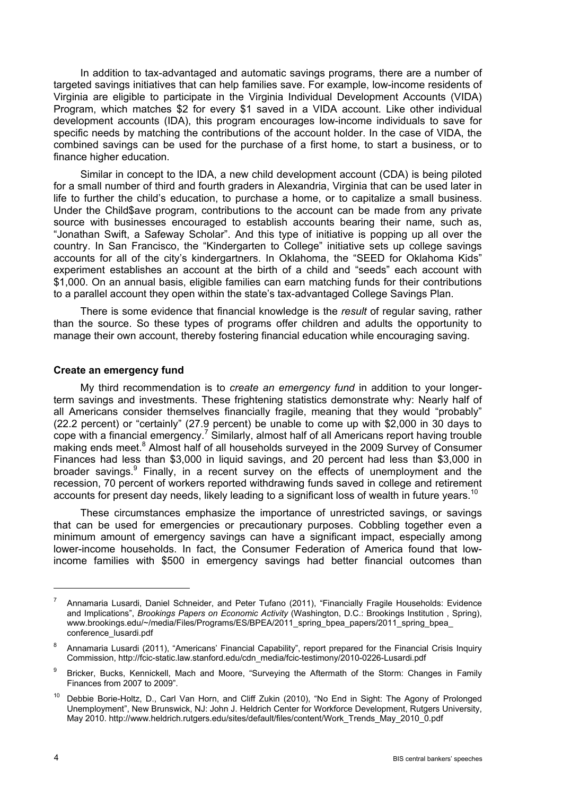In addition to tax-advantaged and automatic savings programs, there are a number of targeted savings initiatives that can help families save. For example, low-income residents of Virginia are eligible to participate in the Virginia Individual Development Accounts (VIDA) Program, which matches \$2 for every \$1 saved in a VIDA account. Like other individual development accounts (IDA), this program encourages low-income individuals to save for specific needs by matching the contributions of the account holder. In the case of VIDA, the combined savings can be used for the purchase of a first home, to start a business, or to finance higher education.

 Similar in concept to the IDA, a new child development account (CDA) is being piloted for a small number of third and fourth graders in Alexandria, Virginia that can be used later in life to further the child's education, to purchase a home, or to capitalize a small business. Under the Child\$ave program, contributions to the account can be made from any private source with businesses encouraged to establish accounts bearing their name, such as, "Jonathan Swift, a Safeway Scholar". And this type of initiative is popping up all over the country. In San Francisco, the "Kindergarten to College" initiative sets up college savings accounts for all of the city's kindergartners. In Oklahoma, the "SEED for Oklahoma Kids" experiment establishes an account at the birth of a child and "seeds" each account with \$1,000. On an annual basis, eligible families can earn matching funds for their contributions to a parallel account they open within the state's tax-advantaged College Savings Plan.

 There is some evidence that financial knowledge is the *result* of regular saving, rather than the source. So these types of programs offer children and adults the opportunity to manage their own account, thereby fostering financial education while encouraging saving.

### **Create an emergency fund**

 My third recommendation is to *create an emergency fund* in addition to your longerterm savings and investments. These frightening statistics demonstrate why: Nearly half of all Americans consider themselves financially fragile, meaning that they would "probably" (22.2 percent) or "certainly" (27.9 percent) be unable to come up with \$2,000 in 30 days to cope with a financial emergency.<sup>7</sup> Similarly, almost half of all Americans report having trouble making ends meet.<sup>8</sup> Almost half of all households surveyed in the 2009 Survey of Consumer Finances had less than \$3,000 in liquid savings, and 20 percent had less than \$3,000 in broader savings.<sup>9</sup> Finally, in a recent survey on the effects of unemployment and the recession, 70 percent of workers reported withdrawing funds saved in college and retirement accounts for present day needs, likely leading to a significant loss of wealth in future years.<sup>10</sup>

 These circumstances emphasize the importance of unrestricted savings, or savings that can be used for emergencies or precautionary purposes. Cobbling together even a minimum amount of emergency savings can have a significant impact, especially among lower-income households. In fact, the Consumer Federation of America found that lowincome families with \$500 in emergency savings had better financial outcomes than

 $\overline{a}$ 

<sup>7</sup> Annamaria Lusardi, Daniel Schneider, and Peter Tufano (2011), "Financially Fragile Households: Evidence and Implications", *Brookings Papers on Economic Activity* (Washington, D.C.: Brookings Institution , Spring), www.brookings.edu/~/media/Files/Programs/ES/BPEA/2011\_spring\_bpea\_papers/2011\_spring\_bpea conference\_lusardi.pdf

<sup>8</sup> Annamaria Lusardi (2011), "Americans' Financial Capability", report prepared for the Financial Crisis Inquiry Commission, http://fcic-static.law.stanford.edu/cdn\_media/fcic-testimony/2010-0226-Lusardi.pdf

<sup>9</sup> Bricker, Bucks, Kennickell, Mach and Moore, "Surveying the Aftermath of the Storm: Changes in Family Finances from 2007 to 2009".

<sup>&</sup>lt;sup>10</sup> Debbie Borie-Holtz, D., Carl Van Horn, and Cliff Zukin (2010), "No End in Sight: The Agony of Prolonged Unemployment", New Brunswick, NJ: John J. Heldrich Center for Workforce Development, Rutgers University, May 2010. http://www.heldrich.rutgers.edu/sites/default/files/content/Work\_Trends\_May\_2010\_0.pdf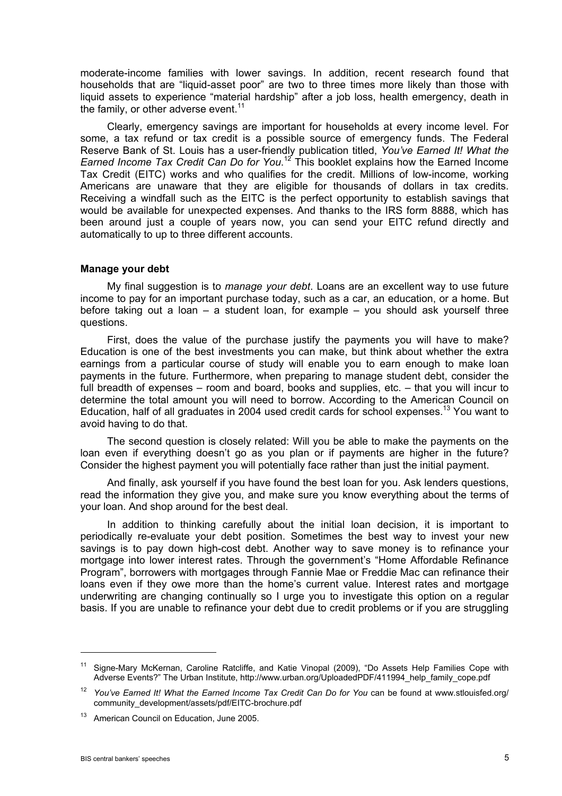moderate-income families with lower savings. In addition, recent research found that households that are "liquid-asset poor" are two to three times more likely than those with liquid assets to experience "material hardship" after a job loss, health emergency, death in the family, or other adverse event. $11$ 

 Clearly, emergency savings are important for households at every income level. For some, a tax refund or tax credit is a possible source of emergency funds. The Federal Reserve Bank of St. Louis has a user-friendly publication titled, *You've Earned It! What the*  Earned Income Tax Credit Can Do for You.<sup>12</sup> This booklet explains how the Earned Income Tax Credit (EITC) works and who qualifies for the credit. Millions of low-income, working Americans are unaware that they are eligible for thousands of dollars in tax credits. Receiving a windfall such as the EITC is the perfect opportunity to establish savings that would be available for unexpected expenses. And thanks to the IRS form 8888, which has been around just a couple of years now, you can send your EITC refund directly and automatically to up to three different accounts.

#### **Manage your debt**

 My final suggestion is to *manage your debt*. Loans are an excellent way to use future income to pay for an important purchase today, such as a car, an education, or a home. But before taking out a loan – a student loan, for example – you should ask yourself three questions.

 First, does the value of the purchase justify the payments you will have to make? Education is one of the best investments you can make, but think about whether the extra earnings from a particular course of study will enable you to earn enough to make loan payments in the future. Furthermore, when preparing to manage student debt, consider the full breadth of expenses – room and board, books and supplies, etc. – that you will incur to determine the total amount you will need to borrow. According to the American Council on Education, half of all graduates in 2004 used credit cards for school expenses.<sup>13</sup> You want to avoid having to do that.

 The second question is closely related: Will you be able to make the payments on the loan even if everything doesn't go as you plan or if payments are higher in the future? Consider the highest payment you will potentially face rather than just the initial payment.

 And finally, ask yourself if you have found the best loan for you. Ask lenders questions, read the information they give you, and make sure you know everything about the terms of your loan. And shop around for the best deal.

 In addition to thinking carefully about the initial loan decision, it is important to periodically re-evaluate your debt position. Sometimes the best way to invest your new savings is to pay down high-cost debt. Another way to save money is to refinance your mortgage into lower interest rates. Through the government's "Home Affordable Refinance Program", borrowers with mortgages through Fannie Mae or Freddie Mac can refinance their loans even if they owe more than the home's current value. Interest rates and mortgage underwriting are changing continually so I urge you to investigate this option on a regular basis. If you are unable to refinance your debt due to credit problems or if you are struggling

<sup>11</sup> Signe-Mary McKernan, Caroline Ratcliffe, and Katie Vinopal (2009), "Do Assets Help Families Cope with Adverse Events?" The Urban Institute, http://www.urban.org/UploadedPDF/411994\_help\_family\_cope.pdf

<sup>&</sup>lt;sup>12</sup> You've Earned It! What the Earned Income Tax Credit Can Do for You can be found at www.stlouisfed.org/ community\_development/assets/pdf/EITC-brochure.pdf

<sup>&</sup>lt;sup>13</sup> American Council on Education, June 2005.